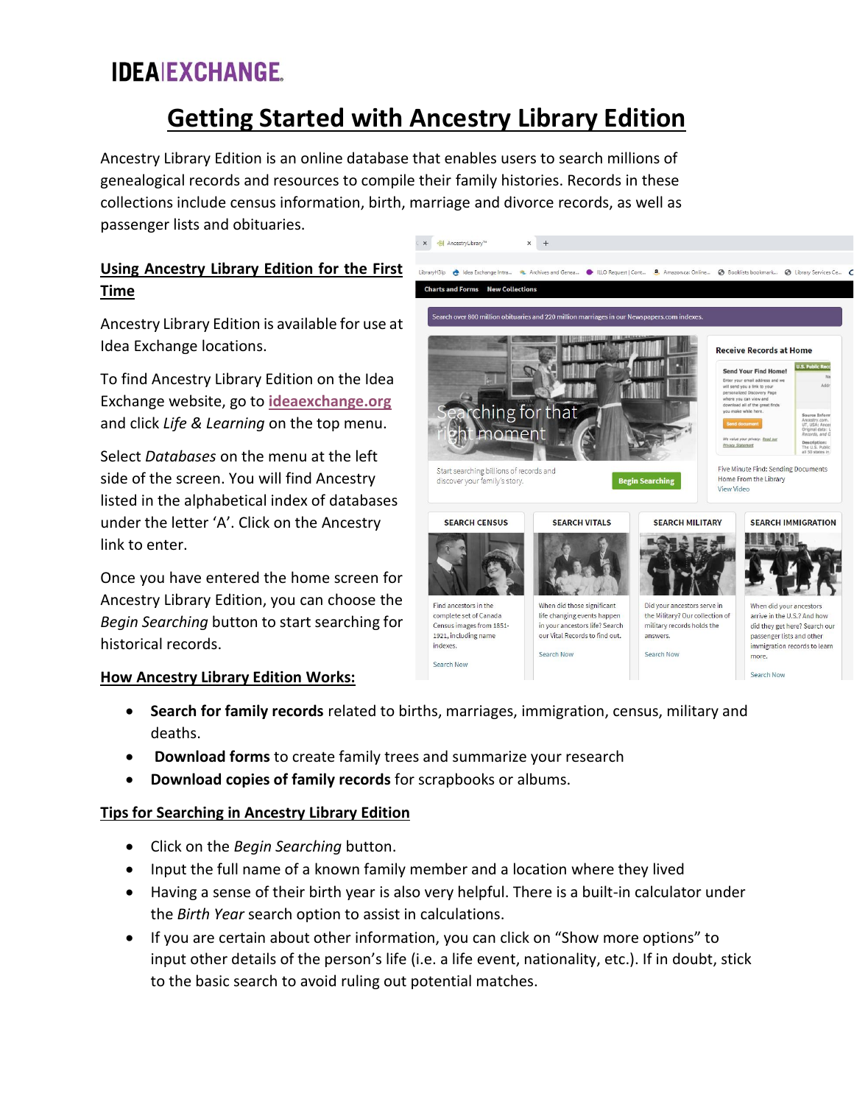# **Getting Started with Ancestry Library Edition**

C × → AncestryLibrary™

 $\times$  +

LibraryH3Ip **A** Idea Exchange Intra... **A** Archives and Genea... ILLO Request | Cont... **8.** Amazon.ca: Online

Ancestry Library Edition is an online database that enables users to search millions of genealogical records and resources to compile their family histories. Records in these collections include census information, birth, marriage and divorce records, as well as passenger lists and obituaries.

## **Using Ancestry Library Edition for the First Time**

Ancestry Library Edition is available for use at Idea Exchange locations.

To find Ancestry Library Edition on the Idea Exchange website, go to **[ideaexchange.org](https://ideaexchange.org/)** and click *Life & Learning* on the top menu.

Select *Databases* on the menu at the left side of the screen. You will find Ancestry listed in the alphabetical index of databases under the letter 'A'. Click on the Ancestry link to enter.

Once you have entered the home screen for Ancestry Library Edition, you can choose the *Begin Searching* button to start searching for historical records.

### **How Ancestry Library Edition Works:**



Booklists bookmark...

**B** Library Services Ce.

- **Search for family records** related to births, marriages, immigration, census, military and deaths.
- **Download forms** to create family trees and summarize your research
- **Download copies of family records** for scrapbooks or albums.

### **Tips for Searching in Ancestry Library Edition**

- Click on the *Begin Searching* button.
- Input the full name of a known family member and a location where they lived
- Having a sense of their birth year is also very helpful. There is a built-in calculator under the *Birth Year* search option to assist in calculations.
- If you are certain about other information, you can click on "Show more options" to input other details of the person's life (i.e. a life event, nationality, etc.). If in doubt, stick to the basic search to avoid ruling out potential matches.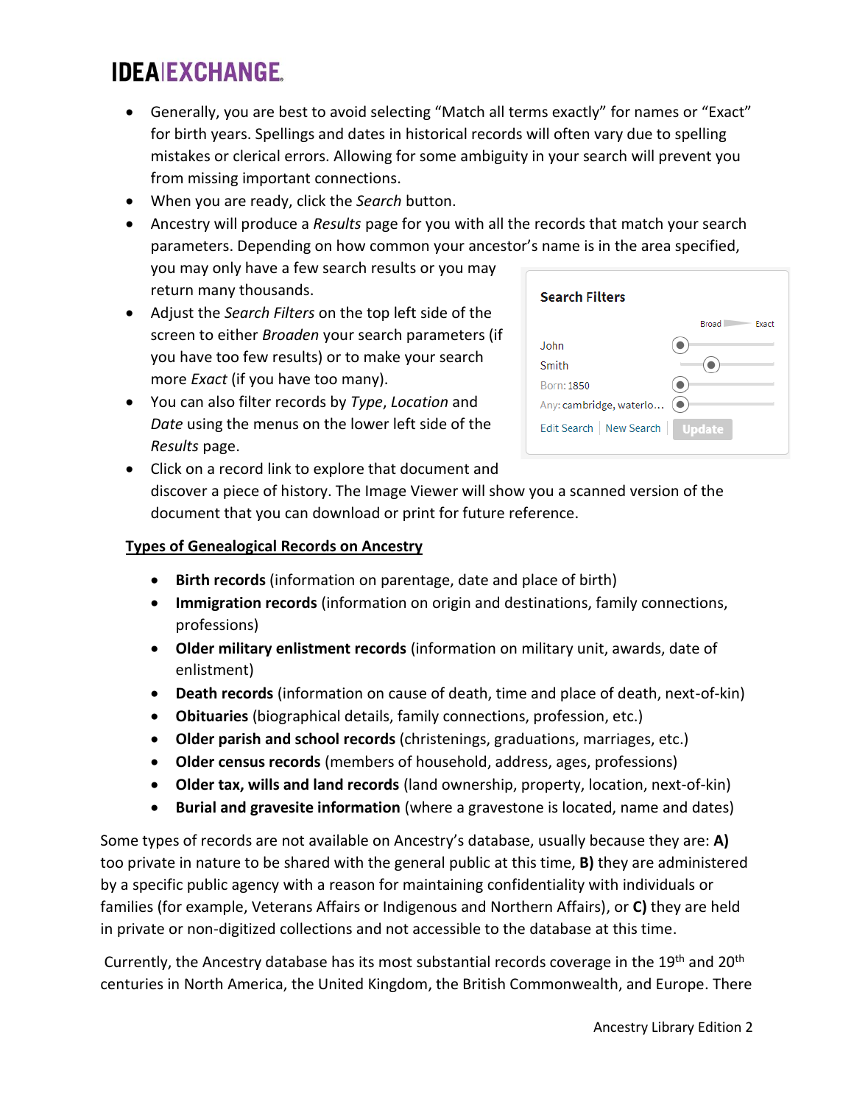- Generally, you are best to avoid selecting "Match all terms exactly" for names or "Exact" for birth years. Spellings and dates in historical records will often vary due to spelling mistakes or clerical errors. Allowing for some ambiguity in your search will prevent you from missing important connections.
- When you are ready, click the *Search* button.
- Ancestry will produce a *Results* page for you with all the records that match your search parameters. Depending on how common your ancestor's name is in the area specified, you may only have a few search results or you may return many thousands.
- Adjust the *Search Filters* on the top left side of the screen to either *Broaden* your search parameters (if you have too few results) or to make your search more *Exact* (if you have too many).
- You can also filter records by *Type*, *Location* and *Date* using the menus on the lower left side of the *Results* page.

| <b>Search Filters</b>                      |                |
|--------------------------------------------|----------------|
|                                            | Broad<br>Exact |
| John.                                      |                |
| Smith                                      |                |
| Born: 1850                                 |                |
| Any: cambridge, waterlo<br>$(\,\bullet\,)$ |                |
| Edit Search   New Search                   | <b>Update</b>  |

• Click on a record link to explore that document and discover a piece of history. The Image Viewer will show you a scanned version of the document that you can download or print for future reference.

#### **Types of Genealogical Records on Ancestry**

- **Birth records** (information on parentage, date and place of birth)
- **Immigration records** (information on origin and destinations, family connections, professions)
- **Older military enlistment records** (information on military unit, awards, date of enlistment)
- **Death records** (information on cause of death, time and place of death, next-of-kin)
- **Obituaries** (biographical details, family connections, profession, etc.)
- **Older parish and school records** (christenings, graduations, marriages, etc.)
- **Older census records** (members of household, address, ages, professions)
- **Older tax, wills and land records** (land ownership, property, location, next-of-kin)
- **Burial and gravesite information** (where a gravestone is located, name and dates)

Some types of records are not available on Ancestry's database, usually because they are: **A)** too private in nature to be shared with the general public at this time, **B)** they are administered by a specific public agency with a reason for maintaining confidentiality with individuals or families (for example, Veterans Affairs or Indigenous and Northern Affairs), or **C)** they are held in private or non-digitized collections and not accessible to the database at this time.

Currently, the Ancestry database has its most substantial records coverage in the 19th and 20th centuries in North America, the United Kingdom, the British Commonwealth, and Europe. There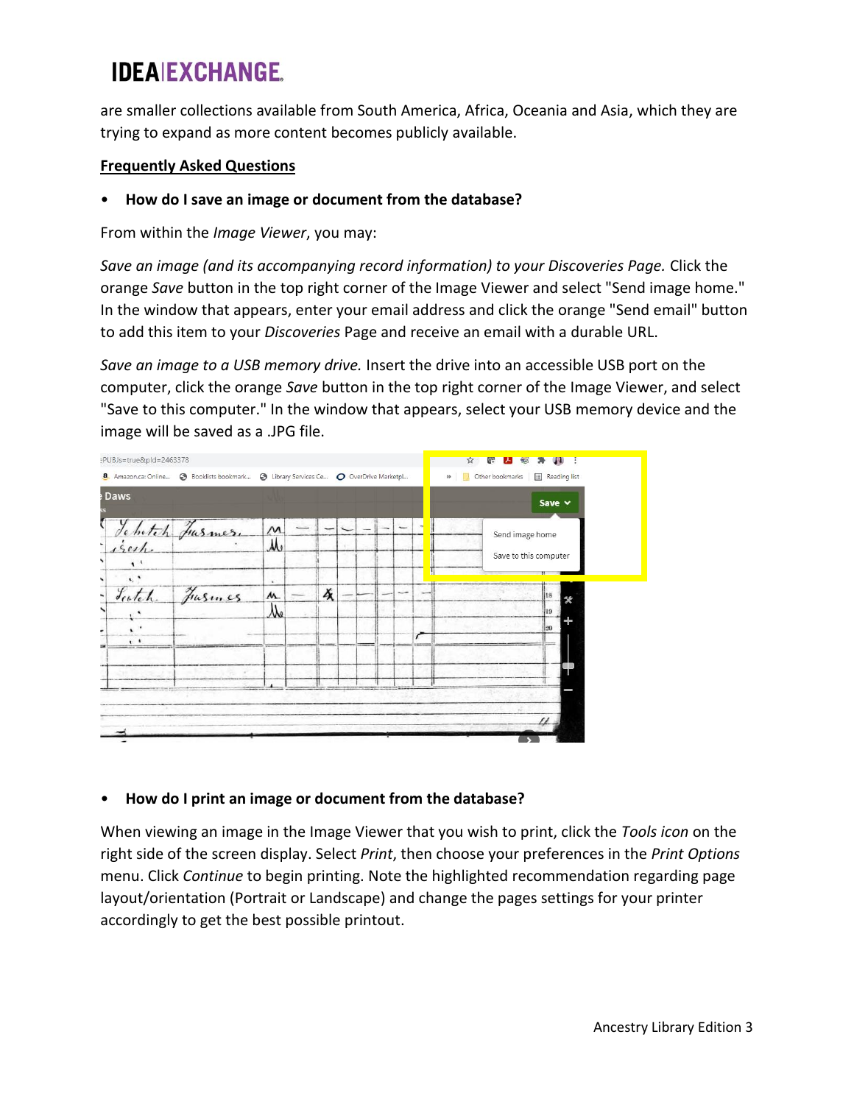are smaller collections available from South America, Africa, Oceania and Asia, which they are trying to expand as more content becomes publicly available.

#### **Frequently Asked Questions**

#### • **How do I save an image or document from the database?**

From within the *Image Viewer*, you may:

*Save an image (and its accompanying record information) to your Discoveries Page.* Click the orange *Save* button in the top right corner of the Image Viewer and select "Send image home." In the window that appears, enter your email address and click the orange "Send email" button to add this item to your *Discoveries* Page and receive an email with a durable URL.

*Save an image to a USB memory drive.* Insert the drive into an accessible USB port on the computer, click the orange *Save* button in the top right corner of the Image Viewer, and select "Save to this computer." In the window that appears, select your USB memory device and the image will be saved as a .JPG file.



### • **How do I print an image or document from the database?**

When viewing an image in the Image Viewer that you wish to print, click the *Tools icon* on the right side of the screen display. Select *Print*, then choose your preferences in the *Print Options* menu. Click *Continue* to begin printing. Note the highlighted recommendation regarding page layout/orientation (Portrait or Landscape) and change the pages settings for your printer accordingly to get the best possible printout.